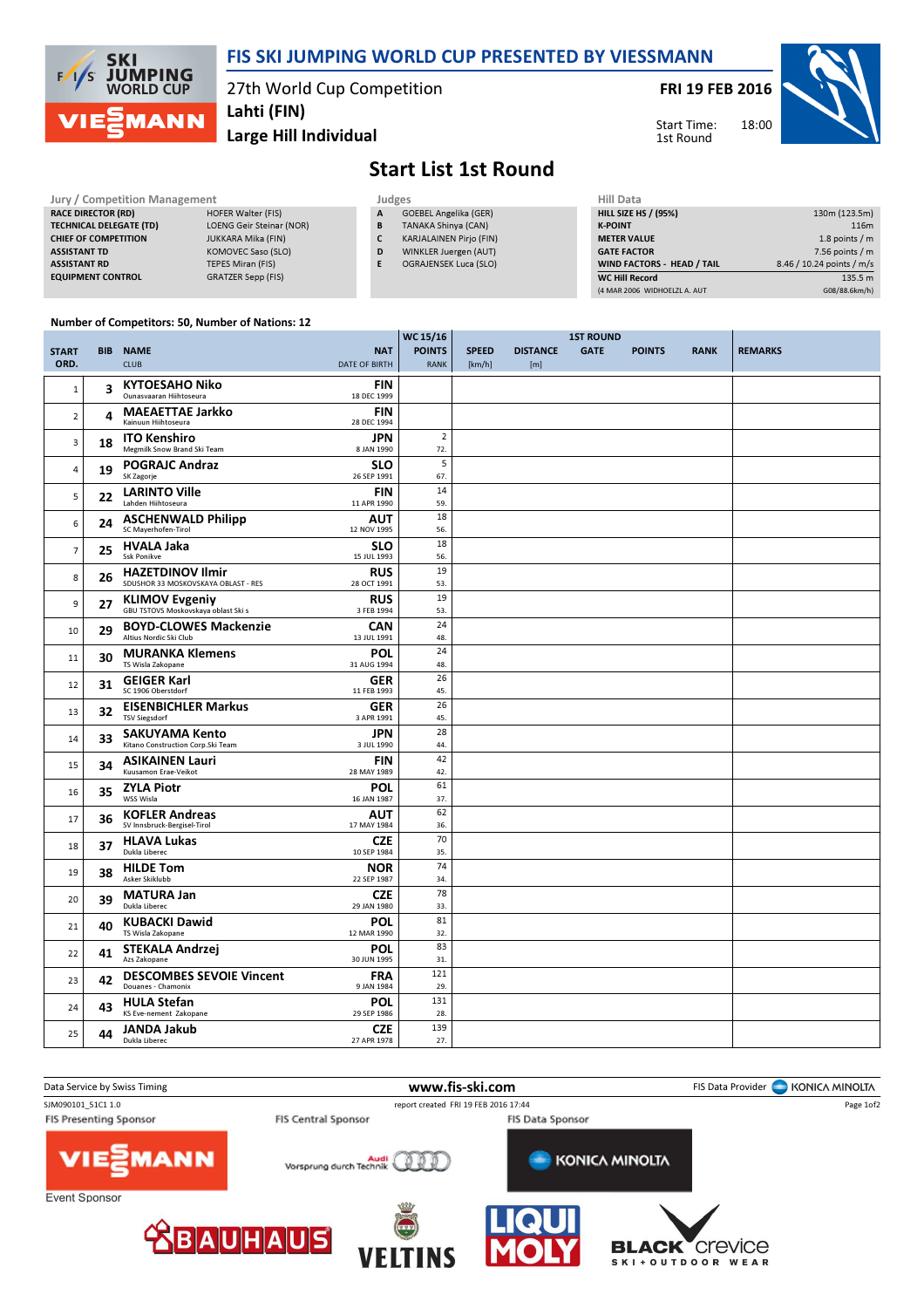

## FIS SKI JUMPING WORLD CUP PRESENTED BY VIESSMANN

27th World Cup Competition

FRI 19 FEB 2016

Start Time: 1st Round



Large Hill Individual Lahti (FIN)

## Start List 1st Round

 $0.15/16$ 

| <b>Jury / Competition Management</b> |                                 |   | <b>Judges</b>                  |                    |  |  |
|--------------------------------------|---------------------------------|---|--------------------------------|--------------------|--|--|
| <b>RACE DIRECTOR (RD)</b>            | <b>HOFER Walter (FIS)</b>       | A | <b>GOEBEL Angelika (GER)</b>   | <b>HILL SIZE H</b> |  |  |
| <b>TECHNICAL DELEGATE (TD)</b>       | <b>LOENG Geir Steinar (NOR)</b> | B | TANAKA Shinya (CAN)            | <b>K-POINT</b>     |  |  |
| <b>CHIEF OF COMPETITION</b>          | <b>JUKKARA Mika (FIN)</b>       |   | <b>KARJALAINEN Pirio (FIN)</b> | <b>METER VAI</b>   |  |  |
| <b>ASSISTANT TD</b>                  | KOMOVEC Saso (SLO)              | D | WINKLER Juergen (AUT)          | <b>GATE FACT</b>   |  |  |
| <b>ASSISTANT RD</b>                  | <b>TEPES Miran (FIS)</b>        |   | OGRAJENSEK Luca (SLO)          | <b>WIND FACT</b>   |  |  |
| <b>EQUIPMENT CONTROL</b>             | GRATZER Sepp (FIS)              |   |                                | <b>WC Hill Reg</b> |  |  |

| Hill Data                         |                           |
|-----------------------------------|---------------------------|
| <b>HILL SIZE HS / (95%)</b>       | 130m (123.5m)             |
| <b>K-POINT</b>                    | 116m                      |
| <b>METER VALUE</b>                | 1.8 points $/m$           |
| <b>GATE FACTOR</b>                | 7.56 points $/m$          |
| <b>WIND FACTORS - HEAD / TAIL</b> | 8.46 / 10.24 points / m/s |
| <b>WC Hill Record</b>             | 135.5 m                   |
| (4 MAR 2006 WIDHOELZL A. AUT      | G08/88.6km/h)             |

## Number of Competitors: 50, Number of Nations: 12

|                      |    |                                                                |                                    | WC 15/16                     |                        |                        |             |               |             |                |
|----------------------|----|----------------------------------------------------------------|------------------------------------|------------------------------|------------------------|------------------------|-------------|---------------|-------------|----------------|
| <b>START</b><br>ORD. |    | <b>BIB NAME</b><br><b>CLUB</b>                                 | <b>NAT</b><br><b>DATE OF BIRTH</b> | <b>POINTS</b><br><b>RANK</b> | <b>SPEED</b><br>[km/h] | <b>DISTANCE</b><br>[m] | <b>GATE</b> | <b>POINTS</b> | <b>RANK</b> | <b>REMARKS</b> |
| $1\,$                | 3  | <b>KYTOESAHO Niko</b><br>Ounasyaaran Hiihtoseura               | <b>FIN</b><br>18 DEC 1999          |                              |                        |                        |             |               |             |                |
| $\overline{2}$       | 4  | <b>MAEAETTAE Jarkko</b><br>Kainuun Hiihtoseura                 | <b>FIN</b><br>28 DEC 1994          |                              |                        |                        |             |               |             |                |
| 3                    | 18 | <b>ITO Kenshiro</b><br>Megmilk Snow Brand Ski Team             | <b>JPN</b><br>8 JAN 1990           | $\overline{2}$<br>72.        |                        |                        |             |               |             |                |
| 4                    | 19 | <b>POGRAJC Andraz</b><br>SK Zagorje                            | <b>SLO</b><br>26 SEP 1991          | 5<br>67.                     |                        |                        |             |               |             |                |
| 5                    | 22 | <b>LARINTO Ville</b><br>Lahden Hiihtoseura                     | <b>FIN</b><br>11 APR 1990          | 14<br>59.                    |                        |                        |             |               |             |                |
| 6                    | 24 | <b>ASCHENWALD Philipp</b><br>SC Mayerhofen-Tirol               | AUT<br>12 NOV 1995                 | 18<br>56.                    |                        |                        |             |               |             |                |
| $\overline{7}$       | 25 | <b>HVALA Jaka</b><br><b>Ssk Ponikve</b>                        | <b>SLO</b><br>15 JUL 1993          | 18<br>56.                    |                        |                        |             |               |             |                |
| 8                    | 26 | <b>HAZETDINOV Ilmir</b><br>SDUSHOR 33 MOSKOVSKAYA OBLAST - RES | <b>RUS</b><br>28 OCT 1991          | 19<br>53.                    |                        |                        |             |               |             |                |
| 9                    | 27 | <b>KLIMOV Evgeniy</b><br>GBU TSTOVS Moskovskaya oblast Ski s   | <b>RUS</b><br>3 FEB 1994           | 19<br>53.                    |                        |                        |             |               |             |                |
| 10                   | 29 | <b>BOYD-CLOWES Mackenzie</b><br>Altius Nordic Ski Club         | <b>CAN</b><br>13 JUL 1991          | 24<br>48.                    |                        |                        |             |               |             |                |
| 11                   | 30 | <b>MURANKA Klemens</b><br>TS Wisla Zakopane                    | POL<br>31 AUG 1994                 | 24<br>48.                    |                        |                        |             |               |             |                |
| 12                   | 31 | <b>GEIGER Karl</b><br>SC 1906 Oberstdorf                       | <b>GER</b><br>11 FEB 1993          | 26<br>45.                    |                        |                        |             |               |             |                |
| 13                   | 32 | <b>EISENBICHLER Markus</b><br><b>TSV Siegsdorf</b>             | <b>GER</b><br>3 APR 1991           | 26<br>45.                    |                        |                        |             |               |             |                |
| 14                   | 33 | <b>SAKUYAMA Kento</b><br>Kitano Construction Corp.Ski Team     | <b>JPN</b><br>3 JUL 1990           | 28<br>44.                    |                        |                        |             |               |             |                |
| 15                   | 34 | <b>ASIKAINEN Lauri</b><br>Kuusamon Erae-Veikot                 | <b>FIN</b><br>28 MAY 1989          | 42<br>42.                    |                        |                        |             |               |             |                |
| 16                   | 35 | <b>ZYLA Piotr</b><br>WSS Wisla                                 | POL<br>16 JAN 1987                 | 61<br>37.                    |                        |                        |             |               |             |                |
| 17                   | 36 | <b>KOFLER Andreas</b><br>SV Innsbruck-Bergisel-Tirol           | <b>AUT</b><br>17 MAY 1984          | 62<br>36.                    |                        |                        |             |               |             |                |
| 18                   | 37 | <b>HLAVA Lukas</b><br>Dukla Liberec                            | <b>CZE</b><br>10 SEP 1984          | 70<br>35.                    |                        |                        |             |               |             |                |
| 19                   | 38 | <b>HILDE Tom</b><br>Asker Skiklubb                             | <b>NOR</b><br>22 SEP 1987          | 74<br>34.                    |                        |                        |             |               |             |                |
| 20                   | 39 | <b>MATURA Jan</b><br>Dukla Liberec                             | <b>CZE</b><br>29 JAN 1980          | 78<br>33.                    |                        |                        |             |               |             |                |
| 21                   | 40 | <b>KUBACKI Dawid</b><br>TS Wisla Zakopane                      | <b>POL</b><br>12 MAR 1990          | 81<br>32.                    |                        |                        |             |               |             |                |
| 22                   | 41 | <b>STEKALA Andrzej</b><br>Azs Zakopane                         | POL<br>30 JUN 1995                 | 83<br>31.                    |                        |                        |             |               |             |                |
| 23                   | 42 | <b>DESCOMBES SEVOIE Vincent</b><br>Douanes - Chamonix          | <b>FRA</b><br>9 JAN 1984           | 121<br>29.                   |                        |                        |             |               |             |                |
| 24                   | 43 | <b>HULA Stefan</b><br>KS Eve-nement Zakopane                   | <b>POL</b><br>29 SEP 1986          | 131<br>28.                   |                        |                        |             |               |             |                |
| 25                   | 44 | <b>JANDA Jakub</b><br>Dukla Liberec                            | <b>CZE</b><br>27 APR 1978          | 139<br>27.                   |                        |                        |             |               |             |                |